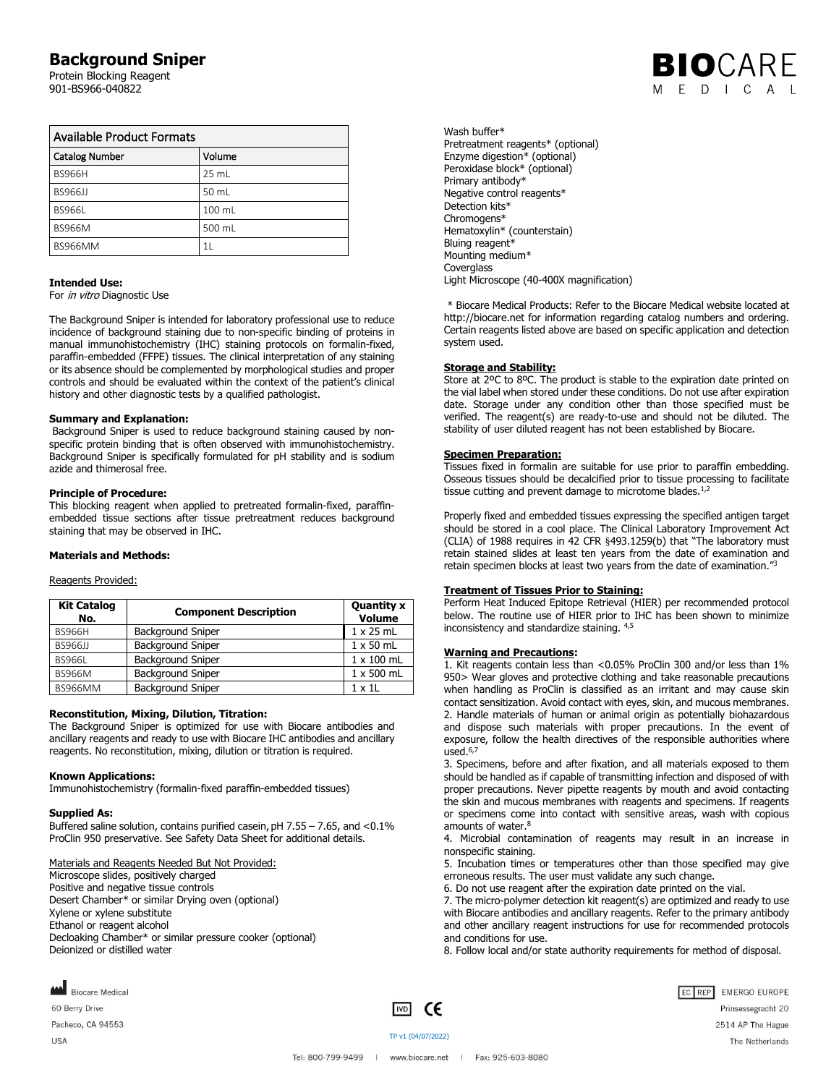Protein Blocking Reagent 901-BS966-040822



| Available Product Formats |                  |  |
|---------------------------|------------------|--|
| <b>Catalog Number</b>     | Volume           |  |
| <b>BS966H</b>             | 25 ml            |  |
| <b>BS966JJ</b>            | 50 ml            |  |
| <b>BS966L</b>             | $100 \mathrm{m}$ |  |
| <b>BS966M</b>             | 500 mL           |  |
| <b>BS966MM</b>            | 11               |  |

# **Intended Use:**

For *in vitro* Diagnostic Use

The Background Sniper is intended for laboratory professional use to reduce incidence of background staining due to non-specific binding of proteins in manual immunohistochemistry (IHC) staining protocols on formalin-fixed, paraffin-embedded (FFPE) tissues. The clinical interpretation of any staining or its absence should be complemented by morphological studies and proper controls and should be evaluated within the context of the patient's clinical history and other diagnostic tests by a qualified pathologist.

## **Summary and Explanation:**

Background Sniper is used to reduce background staining caused by nonspecific protein binding that is often observed with immunohistochemistry. Background Sniper is specifically formulated for pH stability and is sodium azide and thimerosal free.

# **Principle of Procedure:**

This blocking reagent when applied to pretreated formalin-fixed, paraffinembedded tissue sections after tissue pretreatment reduces background staining that may be observed in IHC.

# **Materials and Methods:**

Reagents Provided:

| <b>Kit Catalog</b><br>No. | <b>Component Description</b> | <b>Quantity x</b><br><b>Volume</b> |
|---------------------------|------------------------------|------------------------------------|
| <b>BS966H</b>             | <b>Background Sniper</b>     | $1 \times 25$ mL                   |
| BS966JJ                   | <b>Background Sniper</b>     | $1 \times 50$ mL                   |
| <b>BS966L</b>             | <b>Background Sniper</b>     | $1 \times 100$ mL                  |
| <b>BS966M</b>             | <b>Background Sniper</b>     | $1 \times 500$ mL                  |
| <b>BS966MM</b>            | <b>Background Sniper</b>     | 1 x 1L                             |

# **Reconstitution, Mixing, Dilution, Titration:**

The Background Sniper is optimized for use with Biocare antibodies and ancillary reagents and ready to use with Biocare IHC antibodies and ancillary reagents. No reconstitution, mixing, dilution or titration is required.

# **Known Applications:**

Immunohistochemistry (formalin-fixed paraffin-embedded tissues)

# **Supplied As:**

Buffered saline solution, contains purified casein,  $pH$  7.55 – 7.65, and  $\lt 0.1\%$ ProClin 950 preservative. See Safety Data Sheet for additional details.

## Materials and Reagents Needed But Not Provided:

Microscope slides, positively charged

Positive and negative tissue controls

Desert Chamber\* or similar Drying oven (optional)

Xylene or xylene substitute

Ethanol or reagent alcohol Decloaking Chamber\* or similar pressure cooker (optional) Deionized or distilled water

Wash buffer\* Pretreatment reagents\* (optional) Enzyme digestion\* (optional) Peroxidase block\* (optional) Primary antibody\* Negative control reagents\* Detection kits\* Chromogens\* Hematoxylin\* (counterstain) Bluing reagent\* Mounting medium\* **Coverglass** Light Microscope (40-400X magnification)

\* Biocare Medical Products: Refer to the Biocare Medical website located at http://biocare.net for information regarding catalog numbers and ordering. Certain reagents listed above are based on specific application and detection system used.

# **Storage and Stability:**

Store at 2ºC to 8ºC. The product is stable to the expiration date printed on the vial label when stored under these conditions. Do not use after expiration date. Storage under any condition other than those specified must be verified. The reagent(s) are ready-to-use and should not be diluted. The stability of user diluted reagent has not been established by Biocare.

## **Specimen Preparation:**

Tissues fixed in formalin are suitable for use prior to paraffin embedding. Osseous tissues should be decalcified prior to tissue processing to facilitate tissue cutting and prevent damage to microtome blades. $1,2$ 

Properly fixed and embedded tissues expressing the specified antigen target should be stored in a cool place. The Clinical Laboratory Improvement Act (CLIA) of 1988 requires in 42 CFR §493.1259(b) that "The laboratory must retain stained slides at least ten years from the date of examination and retain specimen blocks at least two years from the date of examination." $3$ 

# **Treatment of Tissues Prior to Staining:**

Perform Heat Induced Epitope Retrieval (HIER) per recommended protocol below. The routine use of HIER prior to IHC has been shown to minimize inconsistency and standardize staining. 4,5

# **Warning and Precautions:**

1. Kit reagents contain less than <0.05% ProClin 300 and/or less than 1% 950> Wear gloves and protective clothing and take reasonable precautions when handling as ProClin is classified as an irritant and may cause skin contact sensitization. Avoid contact with eyes, skin, and mucous membranes. 2. Handle materials of human or animal origin as potentially biohazardous and dispose such materials with proper precautions. In the event of exposure, follow the health directives of the responsible authorities where  $used.<sup>6,7</sup>$ 

3. Specimens, before and after fixation, and all materials exposed to them should be handled as if capable of transmitting infection and disposed of with proper precautions. Never pipette reagents by mouth and avoid contacting the skin and mucous membranes with reagents and specimens. If reagents or specimens come into contact with sensitive areas, wash with copious amounts of water.<sup>8</sup>

4. Microbial contamination of reagents may result in an increase in nonspecific staining.

5. Incubation times or temperatures other than those specified may give erroneous results. The user must validate any such change.

6. Do not use reagent after the expiration date printed on the vial.

7. The micro-polymer detection kit reagent(s) are optimized and ready to use with Biocare antibodies and ancillary reagents. Refer to the primary antibody and other ancillary reagent instructions for use for recommended protocols and conditions for use.

8. Follow local and/or state authority requirements for method of disposal.



60 Berry Drive

Pacheco, CA 94553

**USA** 

 $\overline{1}$  CE

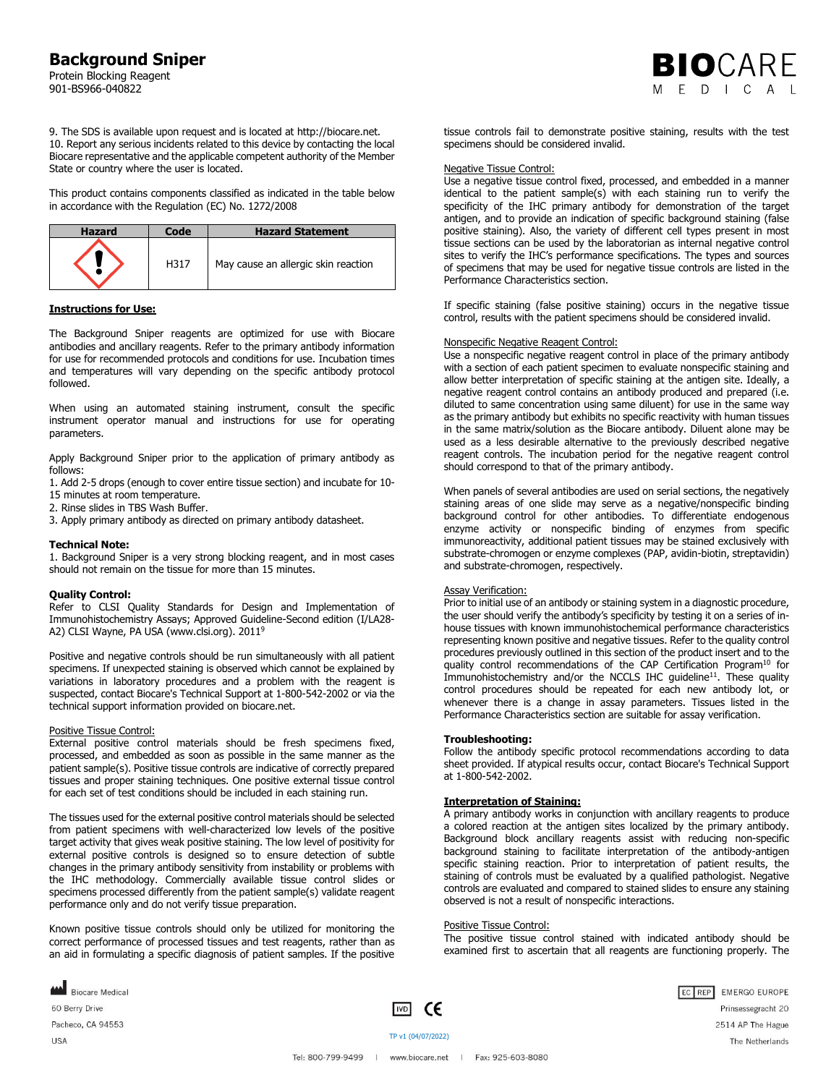Protein Blocking Reagent 901-BS966-040822

9. The SDS is available upon request and is located at http://biocare.net. 10. Report any serious incidents related to this device by contacting the local Biocare representative and the applicable competent authority of the Member State or country where the user is located.

This product contains components classified as indicated in the table below in accordance with the Regulation (EC) No. 1272/2008

| <b>Hazard</b> | Code | <b>Hazard Statement</b>             |
|---------------|------|-------------------------------------|
|               | H317 | May cause an allergic skin reaction |

# **Instructions for Use:**

The Background Sniper reagents are optimized for use with Biocare antibodies and ancillary reagents. Refer to the primary antibody information for use for recommended protocols and conditions for use. Incubation times and temperatures will vary depending on the specific antibody protocol followed.

When using an automated staining instrument, consult the specific instrument operator manual and instructions for use for operating parameters.

Apply Background Sniper prior to the application of primary antibody as follows:

1. Add 2-5 drops (enough to cover entire tissue section) and incubate for 10- 15 minutes at room temperature.

2. Rinse slides in TBS Wash Buffer.

3. Apply primary antibody as directed on primary antibody datasheet.

## **Technical Note:**

1. Background Sniper is a very strong blocking reagent, and in most cases should not remain on the tissue for more than 15 minutes.

#### **Quality Control:**

Refer to CLSI Quality Standards for Design and Implementation of Immunohistochemistry Assays; Approved Guideline-Second edition (I/LA28- A2) CLSI Wayne, PA USA (www.clsi.org). 2011<sup>9</sup>

Positive and negative controls should be run simultaneously with all patient specimens. If unexpected staining is observed which cannot be explained by variations in laboratory procedures and a problem with the reagent is suspected, contact Biocare's Technical Support at 1-800-542-2002 or via the technical support information provided on biocare.net.

#### Positive Tissue Control:

External positive control materials should be fresh specimens fixed, processed, and embedded as soon as possible in the same manner as the patient sample(s). Positive tissue controls are indicative of correctly prepared tissues and proper staining techniques. One positive external tissue control for each set of test conditions should be included in each staining run.

The tissues used for the external positive control materials should be selected from patient specimens with well-characterized low levels of the positive target activity that gives weak positive staining. The low level of positivity for external positive controls is designed so to ensure detection of subtle changes in the primary antibody sensitivity from instability or problems with the IHC methodology. Commercially available tissue control slides or specimens processed differently from the patient sample(s) validate reagent performance only and do not verify tissue preparation.

Known positive tissue controls should only be utilized for monitoring the correct performance of processed tissues and test reagents, rather than as an aid in formulating a specific diagnosis of patient samples. If the positive tissue controls fail to demonstrate positive staining, results with the test specimens should be considered invalid.

**BIO**CARE  $F D L C A$ 

#### Negative Tissue Control:

Use a negative tissue control fixed, processed, and embedded in a manner identical to the patient sample(s) with each staining run to verify the specificity of the IHC primary antibody for demonstration of the target antigen, and to provide an indication of specific background staining (false positive staining). Also, the variety of different cell types present in most tissue sections can be used by the laboratorian as internal negative control sites to verify the IHC's performance specifications. The types and sources of specimens that may be used for negative tissue controls are listed in the Performance Characteristics section.

If specific staining (false positive staining) occurs in the negative tissue control, results with the patient specimens should be considered invalid.

#### Nonspecific Negative Reagent Control:

Use a nonspecific negative reagent control in place of the primary antibody with a section of each patient specimen to evaluate nonspecific staining and allow better interpretation of specific staining at the antigen site. Ideally, a negative reagent control contains an antibody produced and prepared (i.e. diluted to same concentration using same diluent) for use in the same way as the primary antibody but exhibits no specific reactivity with human tissues in the same matrix/solution as the Biocare antibody. Diluent alone may be used as a less desirable alternative to the previously described negative reagent controls. The incubation period for the negative reagent control should correspond to that of the primary antibody.

When panels of several antibodies are used on serial sections, the negatively staining areas of one slide may serve as a negative/nonspecific binding background control for other antibodies. To differentiate endogenous enzyme activity or nonspecific binding of enzymes from specific immunoreactivity, additional patient tissues may be stained exclusively with substrate-chromogen or enzyme complexes (PAP, avidin-biotin, streptavidin) and substrate-chromogen, respectively.

# Assay Verification:

Prior to initial use of an antibody or staining system in a diagnostic procedure, the user should verify the antibody's specificity by testing it on a series of inhouse tissues with known immunohistochemical performance characteristics representing known positive and negative tissues. Refer to the quality control procedures previously outlined in this section of the product insert and to the quality control recommendations of the CAP Certification Program<sup>10</sup> for Immunohistochemistry and/or the NCCLS IHC guideline $^{11}$ . These quality control procedures should be repeated for each new antibody lot, or whenever there is a change in assay parameters. Tissues listed in the Performance Characteristics section are suitable for assay verification.

# **Troubleshooting:**

Follow the antibody specific protocol recommendations according to data sheet provided. If atypical results occur, contact Biocare's Technical Support at 1-800-542-2002.

## **Interpretation of Staining:**

A primary antibody works in conjunction with ancillary reagents to produce a colored reaction at the antigen sites localized by the primary antibody. Background block ancillary reagents assist with reducing non-specific background staining to facilitate interpretation of the antibody-antigen specific staining reaction. Prior to interpretation of patient results, the staining of controls must be evaluated by a qualified pathologist. Negative controls are evaluated and compared to stained slides to ensure any staining observed is not a result of nonspecific interactions.

# Positive Tissue Control:

The positive tissue control stained with indicated antibody should be examined first to ascertain that all reagents are functioning properly. The

**MA** Biocare Medical 60 Berry Drive Pacheco, CA 94553

**USA** 

 $\boxed{VD}$  CE

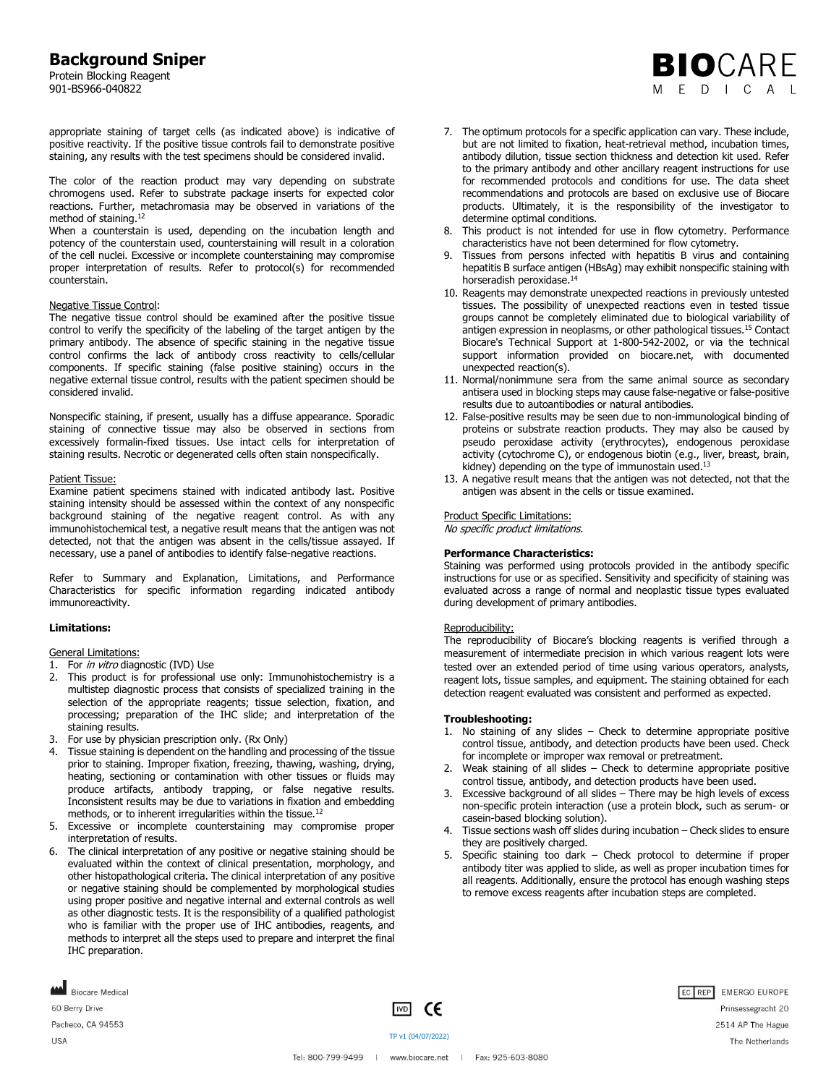Protein Blocking Reagent 901-BS966-040822

appropriate staining of target cells (as indicated above) is indicative of positive reactivity. If the positive tissue controls fail to demonstrate positive staining, any results with the test specimens should be considered invalid.

The color of the reaction product may vary depending on substrate chromogens used. Refer to substrate package inserts for expected color reactions. Further, metachromasia may be observed in variations of the method of staining.<sup>12</sup>

When a counterstain is used, depending on the incubation length and potency of the counterstain used, counterstaining will result in a coloration of the cell nuclei. Excessive or incomplete counterstaining may compromise proper interpretation of results. Refer to protocol(s) for recommended counterstain.

## Negative Tissue Control:

The negative tissue control should be examined after the positive tissue control to verify the specificity of the labeling of the target antigen by the primary antibody. The absence of specific staining in the negative tissue control confirms the lack of antibody cross reactivity to cells/cellular components. If specific staining (false positive staining) occurs in the negative external tissue control, results with the patient specimen should be considered invalid.

Nonspecific staining, if present, usually has a diffuse appearance. Sporadic staining of connective tissue may also be observed in sections from excessively formalin-fixed tissues. Use intact cells for interpretation of staining results. Necrotic or degenerated cells often stain nonspecifically.

## Patient Tissue:

Examine patient specimens stained with indicated antibody last. Positive staining intensity should be assessed within the context of any nonspecific background staining of the negative reagent control. As with any immunohistochemical test, a negative result means that the antigen was not detected, not that the antigen was absent in the cells/tissue assayed. If necessary, use a panel of antibodies to identify false-negative reactions.

Refer to Summary and Explanation, Limitations, and Performance Characteristics for specific information regarding indicated antibody immunoreactivity.

# **Limitations:**

# General Limitations:

- 1. For in vitro diagnostic (IVD) Use
- 2. This product is for professional use only: Immunohistochemistry is a multistep diagnostic process that consists of specialized training in the selection of the appropriate reagents; tissue selection, fixation, and processing; preparation of the IHC slide; and interpretation of the staining results.
- 3. For use by physician prescription only. (Rx Only)
- 4. Tissue staining is dependent on the handling and processing of the tissue prior to staining. Improper fixation, freezing, thawing, washing, drying, heating, sectioning or contamination with other tissues or fluids may produce artifacts, antibody trapping, or false negative results. Inconsistent results may be due to variations in fixation and embedding methods, or to inherent irregularities within the tissue.<sup>12</sup>
- 5. Excessive or incomplete counterstaining may compromise proper interpretation of results.
- 6. The clinical interpretation of any positive or negative staining should be evaluated within the context of clinical presentation, morphology, and other histopathological criteria. The clinical interpretation of any positive or negative staining should be complemented by morphological studies using proper positive and negative internal and external controls as well as other diagnostic tests. It is the responsibility of a qualified pathologist who is familiar with the proper use of IHC antibodies, reagents, and methods to interpret all the steps used to prepare and interpret the final IHC preparation.

7. The optimum protocols for a specific application can vary. These include, but are not limited to fixation, heat-retrieval method, incubation times, antibody dilution, tissue section thickness and detection kit used. Refer to the primary antibody and other ancillary reagent instructions for use for recommended protocols and conditions for use. The data sheet recommendations and protocols are based on exclusive use of Biocare products. Ultimately, it is the responsibility of the investigator to determine optimal conditions.

**BIO**CARE M E D I C A L

- 8. This product is not intended for use in flow cytometry. Performance characteristics have not been determined for flow cytometry.
- 9. Tissues from persons infected with hepatitis B virus and containing hepatitis B surface antigen (HBsAg) may exhibit nonspecific staining with horseradish peroxidase.<sup>14</sup>
- 10. Reagents may demonstrate unexpected reactions in previously untested tissues. The possibility of unexpected reactions even in tested tissue groups cannot be completely eliminated due to biological variability of antigen expression in neoplasms, or other pathological tissues.<sup>15</sup> Contact Biocare's Technical Support at 1-800-542-2002, or via the technical support information provided on biocare.net, with documented unexpected reaction(s).
- 11. Normal/nonimmune sera from the same animal source as secondary antisera used in blocking steps may cause false-negative or false-positive results due to autoantibodies or natural antibodies.
- 12. False-positive results may be seen due to non-immunological binding of proteins or substrate reaction products. They may also be caused by pseudo peroxidase activity (erythrocytes), endogenous peroxidase activity (cytochrome C), or endogenous biotin (e.g., liver, breast, brain, kidney) depending on the type of immunostain used.<sup>13</sup>
- 13. A negative result means that the antigen was not detected, not that the antigen was absent in the cells or tissue examined.

# Product Specific Limitations:

No specific product limitations.

# **Performance Characteristics:**

Staining was performed using protocols provided in the antibody specific instructions for use or as specified. Sensitivity and specificity of staining was evaluated across a range of normal and neoplastic tissue types evaluated during development of primary antibodies.

## Reproducibility:

The reproducibility of Biocare's blocking reagents is verified through a measurement of intermediate precision in which various reagent lots were tested over an extended period of time using various operators, analysts, reagent lots, tissue samples, and equipment. The staining obtained for each detection reagent evaluated was consistent and performed as expected.

## **Troubleshooting:**

- 1. No staining of any slides Check to determine appropriate positive control tissue, antibody, and detection products have been used. Check for incomplete or improper wax removal or pretreatment.
- 2. Weak staining of all slides Check to determine appropriate positive control tissue, antibody, and detection products have been used.
- 3. Excessive background of all slides There may be high levels of excess non-specific protein interaction (use a protein block, such as serum- or casein-based blocking solution).
- 4. Tissue sections wash off slides during incubation Check slides to ensure they are positively charged.
- 5. Specific staining too dark Check protocol to determine if proper antibody titer was applied to slide, as well as proper incubation times for all reagents. Additionally, ensure the protocol has enough washing steps to remove excess reagents after incubation steps are completed.